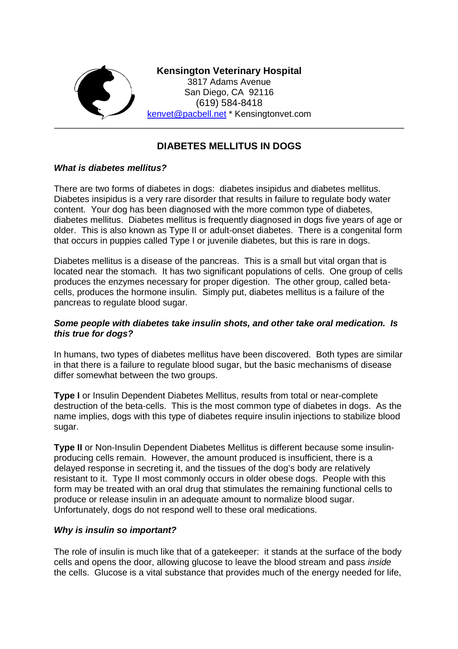

# **DIABETES MELLITUS IN DOGS**

## *What is diabetes mellitus?*

There are two forms of diabetes in dogs: diabetes insipidus and diabetes mellitus. Diabetes insipidus is a very rare disorder that results in failure to regulate body water content. Your dog has been diagnosed with the more common type of diabetes, diabetes mellitus. Diabetes mellitus is frequently diagnosed in dogs five years of age or older. This is also known as Type II or adult-onset diabetes. There is a congenital form that occurs in puppies called Type I or juvenile diabetes, but this is rare in dogs.

Diabetes mellitus is a disease of the pancreas. This is a small but vital organ that is located near the stomach. It has two significant populations of cells. One group of cells produces the enzymes necessary for proper digestion. The other group, called betacells, produces the hormone insulin. Simply put, diabetes mellitus is a failure of the pancreas to regulate blood sugar.

## *Some people with diabetes take insulin shots, and other take oral medication. Is this true for dogs?*

In humans, two types of diabetes mellitus have been discovered. Both types are similar in that there is a failure to regulate blood sugar, but the basic mechanisms of disease differ somewhat between the two groups.

**Type I** or Insulin Dependent Diabetes Mellitus, results from total or near-complete destruction of the beta-cells. This is the most common type of diabetes in dogs. As the name implies, dogs with this type of diabetes require insulin injections to stabilize blood sugar.

**Type II** or Non-Insulin Dependent Diabetes Mellitus is different because some insulinproducing cells remain. However, the amount produced is insufficient, there is a delayed response in secreting it, and the tissues of the dog's body are relatively resistant to it. Type II most commonly occurs in older obese dogs. People with this form may be treated with an oral drug that stimulates the remaining functional cells to produce or release insulin in an adequate amount to normalize blood sugar. Unfortunately, dogs do not respond well to these oral medications.

#### *Why is insulin so important?*

The role of insulin is much like that of a gatekeeper: it stands at the surface of the body cells and opens the door, allowing glucose to leave the blood stream and pass *inside* the cells. Glucose is a vital substance that provides much of the energy needed for life,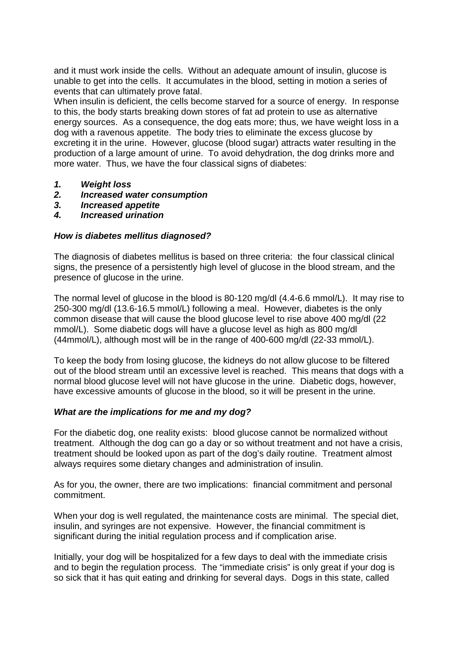and it must work inside the cells. Without an adequate amount of insulin, glucose is unable to get into the cells. It accumulates in the blood, setting in motion a series of events that can ultimately prove fatal.

When insulin is deficient, the cells become starved for a source of energy. In response to this, the body starts breaking down stores of fat ad protein to use as alternative energy sources. As a consequence, the dog eats more; thus, we have weight loss in a dog with a ravenous appetite. The body tries to eliminate the excess glucose by excreting it in the urine. However, glucose (blood sugar) attracts water resulting in the production of a large amount of urine. To avoid dehydration, the dog drinks more and more water. Thus, we have the four classical signs of diabetes:

- *1. Weight loss*
- *2. Increased water consumption*
- *3. Increased appetite*
- *4. Increased urination*

#### *How is diabetes mellitus diagnosed?*

The diagnosis of diabetes mellitus is based on three criteria: the four classical clinical signs, the presence of a persistently high level of glucose in the blood stream, and the presence of glucose in the urine.

The normal level of glucose in the blood is 80-120 mg/dl (4.4-6.6 mmol/L). It may rise to 250-300 mg/dl (13.6-16.5 mmol/L) following a meal. However, diabetes is the only common disease that will cause the blood glucose level to rise above 400 mg/dl (22 mmol/L). Some diabetic dogs will have a glucose level as high as 800 mg/dl (44mmol/L), although most will be in the range of 400-600 mg/dl (22-33 mmol/L).

To keep the body from losing glucose, the kidneys do not allow glucose to be filtered out of the blood stream until an excessive level is reached. This means that dogs with a normal blood glucose level will not have glucose in the urine. Diabetic dogs, however, have excessive amounts of glucose in the blood, so it will be present in the urine.

## *What are the implications for me and my dog?*

For the diabetic dog, one reality exists: blood glucose cannot be normalized without treatment. Although the dog can go a day or so without treatment and not have a crisis, treatment should be looked upon as part of the dog's daily routine. Treatment almost always requires some dietary changes and administration of insulin.

As for you, the owner, there are two implications: financial commitment and personal commitment.

When your dog is well regulated, the maintenance costs are minimal. The special diet, insulin, and syringes are not expensive. However, the financial commitment is significant during the initial regulation process and if complication arise.

Initially, your dog will be hospitalized for a few days to deal with the immediate crisis and to begin the regulation process. The "immediate crisis" is only great if your dog is so sick that it has quit eating and drinking for several days. Dogs in this state, called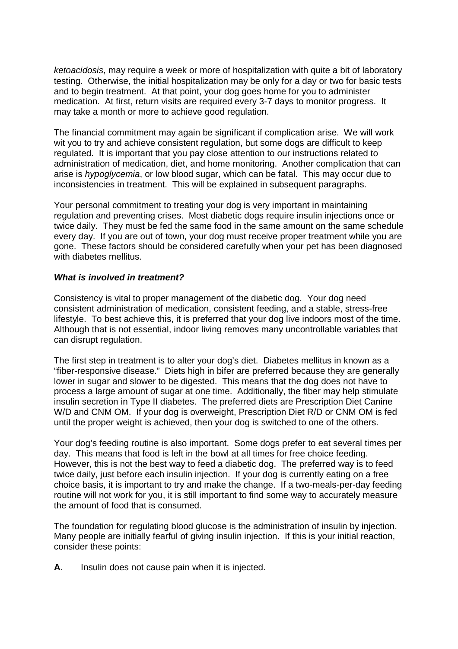*ketoacidosis*, may require a week or more of hospitalization with quite a bit of laboratory testing. Otherwise, the initial hospitalization may be only for a day or two for basic tests and to begin treatment. At that point, your dog goes home for you to administer medication. At first, return visits are required every 3-7 days to monitor progress. It may take a month or more to achieve good regulation.

The financial commitment may again be significant if complication arise. We will work wit you to try and achieve consistent regulation, but some dogs are difficult to keep regulated. It is important that you pay close attention to our instructions related to administration of medication, diet, and home monitoring. Another complication that can arise is *hypoglycemia*, or low blood sugar, which can be fatal. This may occur due to inconsistencies in treatment. This will be explained in subsequent paragraphs.

Your personal commitment to treating your dog is very important in maintaining regulation and preventing crises. Most diabetic dogs require insulin injections once or twice daily. They must be fed the same food in the same amount on the same schedule every day. If you are out of town, your dog must receive proper treatment while you are gone. These factors should be considered carefully when your pet has been diagnosed with diabetes mellitus.

## *What is involved in treatment?*

Consistency is vital to proper management of the diabetic dog. Your dog need consistent administration of medication, consistent feeding, and a stable, stress-free lifestyle. To best achieve this, it is preferred that your dog live indoors most of the time. Although that is not essential, indoor living removes many uncontrollable variables that can disrupt regulation.

The first step in treatment is to alter your dog's diet. Diabetes mellitus in known as a "fiber-responsive disease." Diets high in bifer are preferred because they are generally lower in sugar and slower to be digested. This means that the dog does not have to process a large amount of sugar at one time. Additionally, the fiber may help stimulate insulin secretion in Type II diabetes. The preferred diets are Prescription Diet Canine W/D and CNM OM. If your dog is overweight, Prescription Diet R/D or CNM OM is fed until the proper weight is achieved, then your dog is switched to one of the others.

Your dog's feeding routine is also important. Some dogs prefer to eat several times per day. This means that food is left in the bowl at all times for free choice feeding. However, this is not the best way to feed a diabetic dog. The preferred way is to feed twice daily, just before each insulin injection. If your dog is currently eating on a free choice basis, it is important to try and make the change. If a two-meals-per-day feeding routine will not work for you, it is still important to find some way to accurately measure the amount of food that is consumed.

The foundation for regulating blood glucose is the administration of insulin by injection. Many people are initially fearful of giving insulin injection. If this is your initial reaction, consider these points:

**A**. Insulin does not cause pain when it is injected.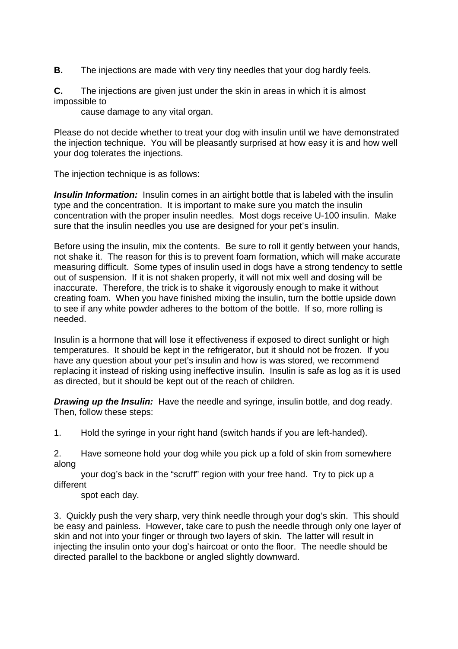**B.** The injections are made with very tiny needles that your dog hardly feels.

**C.** The injections are given just under the skin in areas in which it is almost impossible to

cause damage to any vital organ.

Please do not decide whether to treat your dog with insulin until we have demonstrated the injection technique. You will be pleasantly surprised at how easy it is and how well your dog tolerates the injections.

The injection technique is as follows:

*Insulin Information:* Insulin comes in an airtight bottle that is labeled with the insulin type and the concentration. It is important to make sure you match the insulin concentration with the proper insulin needles. Most dogs receive U-100 insulin. Make sure that the insulin needles you use are designed for your pet's insulin.

Before using the insulin, mix the contents. Be sure to roll it gently between your hands, not shake it. The reason for this is to prevent foam formation, which will make accurate measuring difficult. Some types of insulin used in dogs have a strong tendency to settle out of suspension. If it is not shaken properly, it will not mix well and dosing will be inaccurate. Therefore, the trick is to shake it vigorously enough to make it without creating foam. When you have finished mixing the insulin, turn the bottle upside down to see if any white powder adheres to the bottom of the bottle. If so, more rolling is needed.

Insulin is a hormone that will lose it effectiveness if exposed to direct sunlight or high temperatures. It should be kept in the refrigerator, but it should not be frozen. If you have any question about your pet's insulin and how is was stored, we recommend replacing it instead of risking using ineffective insulin. Insulin is safe as log as it is used as directed, but it should be kept out of the reach of children.

*Drawing up the Insulin:* Have the needle and syringe, insulin bottle, and dog ready. Then, follow these steps:

1. Hold the syringe in your right hand (switch hands if you are left-handed).

2. Have someone hold your dog while you pick up a fold of skin from somewhere along

your dog's back in the "scruff" region with your free hand. Try to pick up a different

spot each day.

3. Quickly push the very sharp, very think needle through your dog's skin. This should be easy and painless. However, take care to push the needle through only one layer of skin and not into your finger or through two layers of skin. The latter will result in injecting the insulin onto your dog's haircoat or onto the floor. The needle should be directed parallel to the backbone or angled slightly downward.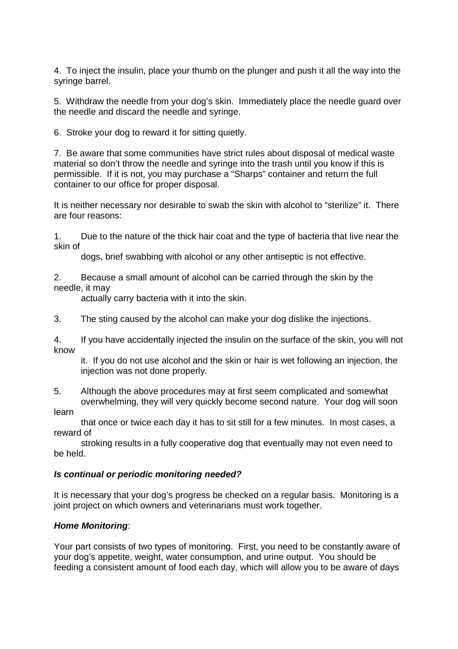4. To inject the insulin, place your thumb on the plunger and push it all the way into the syringe barrel.

5. Withdraw the needle from your dog's skin. Immediately place the needle guard over the needle and discard the needle and syringe.

6. Stroke your dog to reward it for sitting quietly.

7. Be aware that some communities have strict rules about disposal of medical waste material so don't throw the needle and syringe into the trash until you know if this is permissible. If it is not, you may purchase a "Sharps" container and return the full container to our office for proper disposal.

It is neither necessary nor desirable to swab the skin with alcohol to "sterilize" it. There are four reasons:

1. Due to the nature of the thick hair coat and the type of bacteria that live near the skin of

dogs, brief swabbing with alcohol or any other antiseptic is not effective.

2. Because a small amount of alcohol can be carried through the skin by the needle, it may

actually carry bacteria with it into the skin.

3. The sting caused by the alcohol can make your dog dislike the injections.

4. If you have accidentally injected the insulin on the surface of the skin, you will not know

it. If you do not use alcohol and the skin or hair is wet following an injection, the injection was not done properly.

5. Although the above procedures may at first seem complicated and somewhat overwhelming, they will very quickly become second nature. Your dog will soon

learn

that once or twice each day it has to sit still for a few minutes. In most cases, a reward of

stroking results in a fully cooperative dog that eventually may not even need to be held.

#### *Is continual or periodic monitoring needed?*

It is necessary that your dog's progress be checked on a regular basis. Monitoring is a joint project on which owners and veterinarians must work together.

## *Home Monitoring*:

Your part consists of two types of monitoring. First, you need to be constantly aware of your dog's appetite, weight, water consumption, and urine output. You should be feeding a consistent amount of food each day, which will allow you to be aware of days